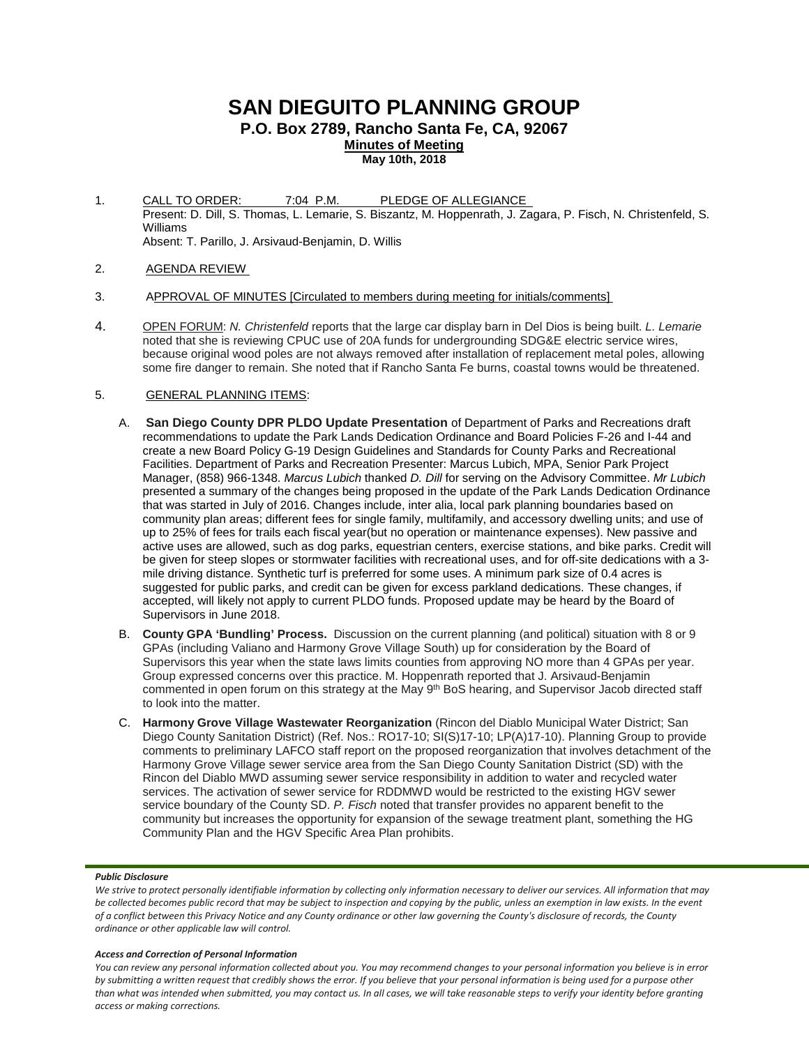# **SAN DIEGUITO PLANNING GROUP**

**P.O. Box 2789, Rancho Santa Fe, CA, 92067**

**Minutes of Meeting**

**May 10th, 2018**

- 1. CALL TO ORDER: 7:04 P.M. PLEDGE OF ALLEGIANCE Present: D. Dill, S. Thomas, L. Lemarie, S. Biszantz, M. Hoppenrath, J. Zagara, P. Fisch, N. Christenfeld, S. Williams Absent: T. Parillo, J. Arsivaud-Benjamin, D. Willis
- 2. AGENDA REVIEW
- 3. APPROVAL OF MINUTES [Circulated to members during meeting for initials/comments]
- 4. OPEN FORUM: *N. Christenfeld* reports that the large car display barn in Del Dios is being built. *L. Lemarie* noted that she is reviewing CPUC use of 20A funds for undergrounding SDG&E electric service wires, because original wood poles are not always removed after installation of replacement metal poles, allowing some fire danger to remain. She noted that if Rancho Santa Fe burns, coastal towns would be threatened.

## 5. GENERAL PLANNING ITEMS:

- A. **San Diego County DPR PLDO Update Presentation** of Department of Parks and Recreations draft recommendations to update the Park Lands Dedication Ordinance and Board Policies F-26 and I-44 and create a new Board Policy G-19 Design Guidelines and Standards for County Parks and Recreational Facilities. Department of Parks and Recreation Presenter: Marcus Lubich, MPA, Senior Park Project Manager, (858) 966-1348. *Marcus Lubich* thanked *D. Dill* for serving on the Advisory Committee. *Mr Lubich* presented a summary of the changes being proposed in the update of the Park Lands Dedication Ordinance that was started in July of 2016. Changes include, inter alia, local park planning boundaries based on community plan areas; different fees for single family, multifamily, and accessory dwelling units; and use of up to 25% of fees for trails each fiscal year(but no operation or maintenance expenses). New passive and active uses are allowed, such as dog parks, equestrian centers, exercise stations, and bike parks. Credit will be given for steep slopes or stormwater facilities with recreational uses, and for off-site dedications with a 3 mile driving distance. Synthetic turf is preferred for some uses. A minimum park size of 0.4 acres is suggested for public parks, and credit can be given for excess parkland dedications. These changes, if accepted, will likely not apply to current PLDO funds. Proposed update may be heard by the Board of Supervisors in June 2018.
- B. **County GPA 'Bundling' Process.** Discussion on the current planning (and political) situation with 8 or 9 GPAs (including Valiano and Harmony Grove Village South) up for consideration by the Board of Supervisors this year when the state laws limits counties from approving NO more than 4 GPAs per year. Group expressed concerns over this practice. M. Hoppenrath reported that J. Arsivaud-Benjamin commented in open forum on this strategy at the May 9<sup>th</sup> BoS hearing, and Supervisor Jacob directed staff to look into the matter.
- C. **Harmony Grove Village Wastewater Reorganization** (Rincon del Diablo Municipal Water District; San Diego County Sanitation District) (Ref. Nos.: RO17-10; SI(S)17-10; LP(A)17-10). Planning Group to provide comments to preliminary LAFCO staff report on the proposed reorganization that involves detachment of the Harmony Grove Village sewer service area from the San Diego County Sanitation District (SD) with the Rincon del Diablo MWD assuming sewer service responsibility in addition to water and recycled water services. The activation of sewer service for RDDMWD would be restricted to the existing HGV sewer service boundary of the County SD. *P. Fisch* noted that transfer provides no apparent benefit to the community but increases the opportunity for expansion of the sewage treatment plant, something the HG Community Plan and the HGV Specific Area Plan prohibits.

#### *Public Disclosure*

#### *Access and Correction of Personal Information*

We strive to protect personally identifiable information by collecting only information necessary to deliver our services. All information that may *be collected becomes public record that may be subject to inspection and copying by the public, unless an exemption in law exists. In the event of a conflict between this Privacy Notice and any County ordinance or other law governing the County's disclosure of records, the County ordinance or other applicable law will control.*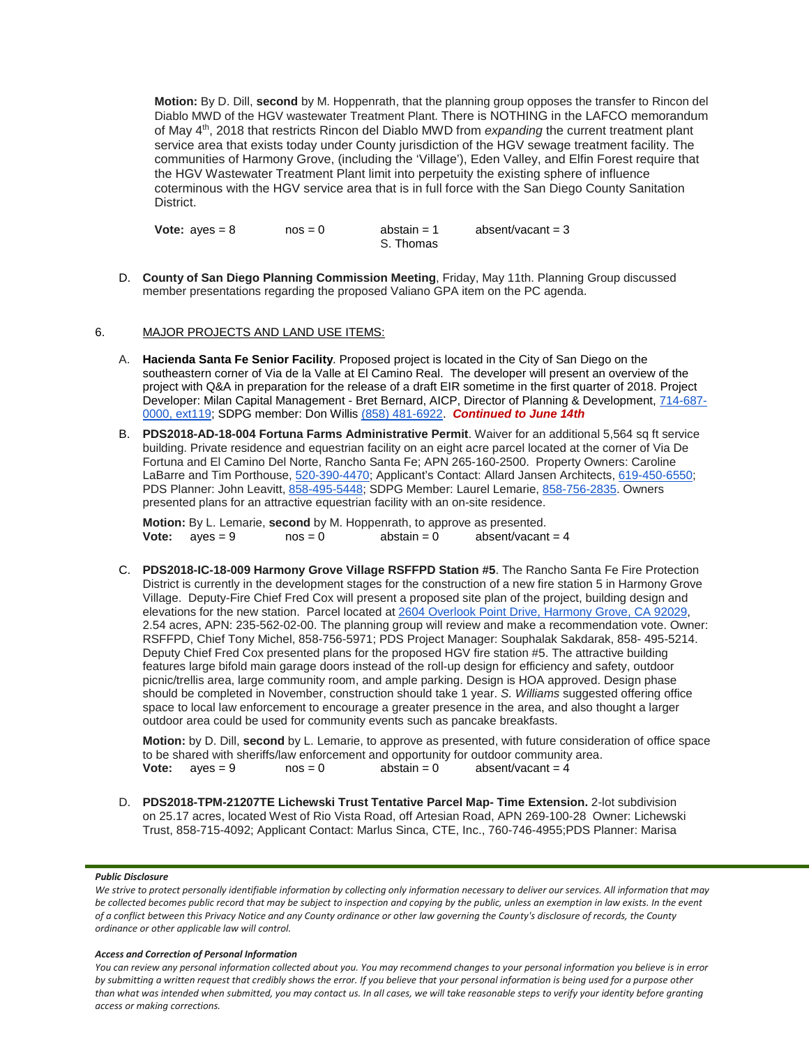**Motion:** By D. Dill, **second** by M. Hoppenrath, that the planning group opposes the transfer to Rincon del Diablo MWD of the HGV wastewater Treatment Plant. There is NOTHING in the LAFCO memorandum of May 4th, 2018 that restricts Rincon del Diablo MWD from *expanding* the current treatment plant service area that exists today under County jurisdiction of the HGV sewage treatment facility. The communities of Harmony Grove, (including the 'Village'), Eden Valley, and Elfin Forest require that the HGV Wastewater Treatment Plant limit into perpetuity the existing sphere of influence coterminous with the HGV service area that is in full force with the San Diego County Sanitation District.

**Vote:**  $a$ yes =  $8$  nos =  $0$  abstain =  $1$  absent/vacant =  $3$ S. Thomas

D. **County of San Diego Planning Commission Meeting**, Friday, May 11th. Planning Group discussed member presentations regarding the proposed Valiano GPA item on the PC agenda.

# 6. MAJOR PROJECTS AND LAND USE ITEMS:

- A. **Hacienda Santa Fe Senior Facility**. Proposed project is located in the City of San Diego on the southeastern corner of Via de la Valle at El Camino Real. The developer will present an overview of the project with Q&A in preparation for the release of a draft EIR sometime in the first quarter of 2018. Project Developer: Milan Capital Management - Bret Bernard, AICP, Director of Planning & Development, [714-687-](tel:(714)%20687-0000) [0000, ext119;](tel:(714)%20687-0000) SDPG member: Don Willis [\(858\) 481-6922.](tel:(858)%20481-6922) *Continued to June 14th*
- B. **PDS2018-AD-18-004 Fortuna Farms Administrative Permit**. Waiver for an additional 5,564 sq ft service building. Private residence and equestrian facility on an eight acre parcel located at the corner of Via De Fortuna and El Camino Del Norte, Rancho Santa Fe; APN 265-160-2500. Property Owners: Caroline LaBarre and Tim Porthouse, [520-390-4470;](tel:(520)%20390-4470) Applicant's Contact: Allard Jansen Architects, [619-450-6550;](tel:(619)%20450-6550) PDS Planner: John Leavitt, [858-495-5448;](tel:(858)%20495-5448) SDPG Member: Laurel Lemarie, [858-756-2835.](tel:(858)%20756-2835) Owners presented plans for an attractive equestrian facility with an on-site residence.

**Motion:** By L. Lemarie, **second** by M. Hoppenrath, to approve as presented.<br>**Vote:** aves = 9 nos = 0 abstain = 0 absent/vacant = 4 **Vote:**  $ayes = 9$ 

C. **PDS2018-IC-18-009 Harmony Grove Village RSFFPD Station #5**. The Rancho Santa Fe Fire Protection District is currently in the development stages for the construction of a new fire station 5 in Harmony Grove Village. Deputy-Fire Chief Fred Cox will present a proposed site plan of the project, building design and elevations for the new station. Parcel located at [2604 Overlook Point Drive, Harmony Grove, CA 92029,](https://maps.google.com/?q=2604+Overlook+Point+Drive,+Harmony+Grove,+CA+92029&entry=gmail&source=g) 2.54 acres, APN: 235-562-02-00. The planning group will review and make a recommendation vote. Owner: RSFFPD, Chief Tony Michel, 858-756-5971; PDS Project Manager: Souphalak Sakdarak, 858- 495-5214. Deputy Chief Fred Cox presented plans for the proposed HGV fire station #5. The attractive building features large bifold main garage doors instead of the roll-up design for efficiency and safety, outdoor picnic/trellis area, large community room, and ample parking. Design is HOA approved. Design phase should be completed in November, construction should take 1 year. *S. Williams* suggested offering office space to local law enforcement to encourage a greater presence in the area, and also thought a larger outdoor area could be used for community events such as pancake breakfasts.

**Motion:** by D. Dill, **second** by L. Lemarie, to approve as presented, with future consideration of office space to be shared with sheriffs/law enforcement and opportunity for outdoor community area.<br>Vote:  $aves = 9$  nos = 0 abstain = 0 absent/vacant = 4 **Vote:**  $ayes = 9$ 

D. **PDS2018-TPM-21207TE Lichewski Trust Tentative Parcel Map- Time Extension.** 2-lot subdivision on 25.17 acres, located West of Rio Vista Road, off Artesian Road, APN 269-100-28 Owner: Lichewski Trust, 858-715-4092; Applicant Contact: Marlus Sinca, CTE, Inc., 760-746-4955;PDS Planner: Marisa

#### *Public Disclosure*

We strive to protect personally identifiable information by collecting only information necessary to deliver our services. All information that may *be collected becomes public record that may be subject to inspection and copying by the public, unless an exemption in law exists. In the event of a conflict between this Privacy Notice and any County ordinance or other law governing the County's disclosure of records, the County ordinance or other applicable law will control.*

#### *Access and Correction of Personal Information*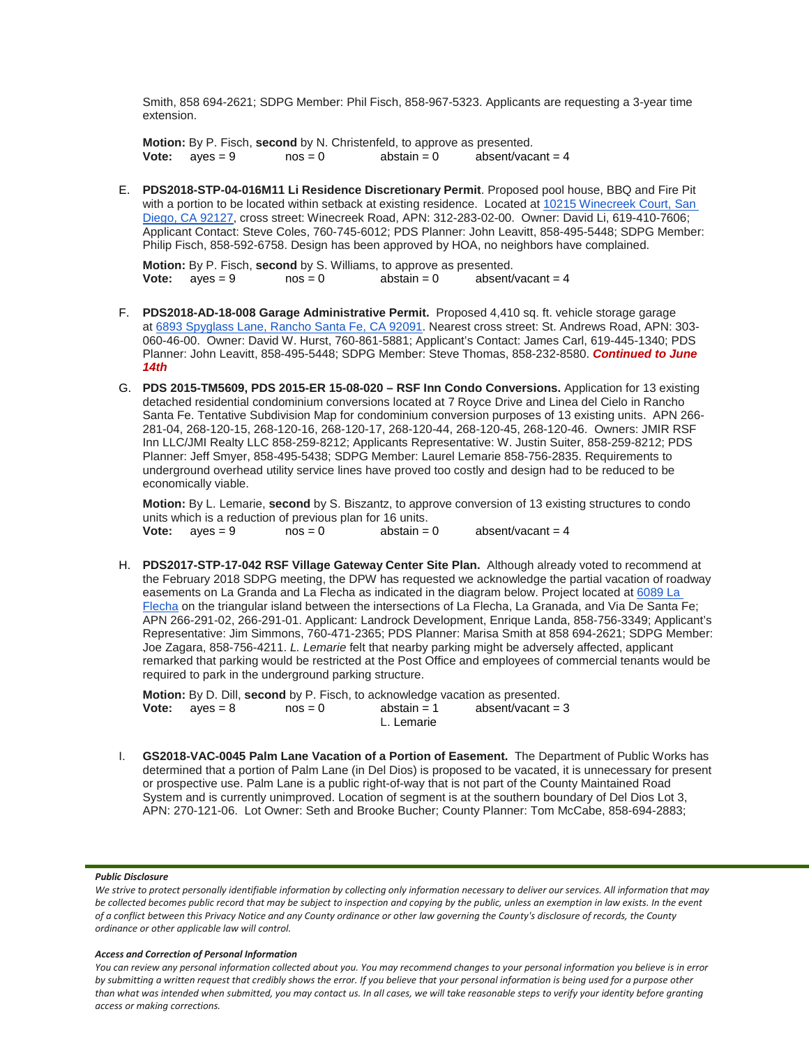Smith, 858 694-2621; SDPG Member: Phil Fisch, 858-967-5323. Applicants are requesting a 3-year time extension.

**Motion:** By P. Fisch, **second** by N. Christenfeld, to approve as presented.<br>**Vote:** aves = 9 nos = 0 abstain = 0 absent/vace **Vote:**  $aves = 9$   $nos = 0$   $abs | in = 0$   $abs | in = 4$ 

E. **PDS2018-STP-04-016M11 Li Residence Discretionary Permit**. Proposed pool house, BBQ and Fire Pit with a portion to be located within setback at existing residence. Located at 10215 Winecreek Court, San [Diego, CA 92127,](https://maps.google.com/?q=10215+Winecreek+Court,+San+Diego,+CA+92127&entry=gmail&source=g) cross street: Winecreek Road, APN: 312-283-02-00. Owner: David Li, 619-410-7606; Applicant Contact: Steve Coles, 760-745-6012; PDS Planner: John Leavitt, 858-495-5448; SDPG Member: Philip Fisch, 858-592-6758. Design has been approved by HOA, no neighbors have complained.

**Motion:** By P. Fisch, **second** by S. Williams, to approve as presented.<br>**Vote:** aves = 9 nos = 0 abstain = 0 absent/ absent/vacant  $= 4$ 

- F. **PDS2018-AD-18-008 Garage Administrative Permit.** Proposed 4,410 sq. ft. vehicle storage garage at [6893 Spyglass Lane, Rancho Santa Fe, CA 92091.](https://maps.google.com/?q=6893+Spyglass+Lane,+Rancho+Santa+Fe,+CA+92091&entry=gmail&source=g) Nearest cross street: St. Andrews Road, APN: 303- 060-46-00. Owner: David W. Hurst, 760-861-5881; Applicant's Contact: James Carl, 619-445-1340; PDS Planner: John Leavitt, 858-495-5448; SDPG Member: Steve Thomas, 858-232-8580. *Continued to June 14th*
- G. **PDS 2015-TM5609, PDS 2015-ER 15-08-020 – RSF Inn Condo Conversions.** Application for 13 existing detached residential condominium conversions located at 7 Royce Drive and Linea del Cielo in Rancho Santa Fe. Tentative Subdivision Map for condominium conversion purposes of 13 existing units. APN 266- 281-04, 268-120-15, 268-120-16, 268-120-17, 268-120-44, 268-120-45, 268-120-46. Owners: JMIR RSF Inn LLC/JMI Realty LLC 858-259-8212; Applicants Representative: W. Justin Suiter, 858-259-8212; PDS Planner: Jeff Smyer, 858-495-5438; SDPG Member: Laurel Lemarie 858-756-2835. Requirements to underground overhead utility service lines have proved too costly and design had to be reduced to be economically viable.

**Motion:** By L. Lemarie, **second** by S. Biszantz, to approve conversion of 13 existing structures to condo units which is a reduction of previous plan for 16 units.<br>**Vote:**  $a$  ves = 9  $a$  nos = 0  $a$  abstain = 0 **Vote:**  $a$ yes = 9  $a$  nos = 0  $a$  abstain = 0  $a$  absent/vacant = 4

H. **PDS2017-STP-17-042 RSF Village Gateway Center Site Plan.** Although already voted to recommend at the February 2018 SDPG meeting, the DPW has requested we acknowledge the partial vacation of roadway easements on La Granda and La Flecha as indicated in the diagram below. Project located at [6089 La](https://maps.google.com/?q=6089+La+Flecha&entry=gmail&source=g)  [Flecha](https://maps.google.com/?q=6089+La+Flecha&entry=gmail&source=g) on the triangular island between the intersections of La Flecha, La Granada, and Via De Santa Fe; APN 266-291-02, 266-291-01. Applicant: Landrock Development, Enrique Landa, 858-756-3349; Applicant's Representative: Jim Simmons, 760-471-2365; PDS Planner: Marisa Smith at 858 694-2621; SDPG Member: Joe Zagara, 858-756-4211. *L. Lemarie* felt that nearby parking might be adversely affected, applicant remarked that parking would be restricted at the Post Office and employees of commercial tenants would be required to park in the underground parking structure.

**Motion:** By D. Dill, **second** by P. Fisch, to acknowledge vacation as presented.<br>**Vote:** aves = 8 nos = 0 abstain = 1 absent/vacant = 3  $$ L. Lemarie

I. **GS2018-VAC-0045 Palm Lane Vacation of a Portion of Easement.** The Department of Public Works has determined that a portion of Palm Lane (in Del Dios) is proposed to be vacated, it is unnecessary for present or prospective use. Palm Lane is a public right-of-way that is not part of the County Maintained Road System and is currently unimproved. Location of segment is at the southern boundary of Del Dios Lot 3, APN: 270-121-06. Lot Owner: Seth and Brooke Bucher; County Planner: Tom McCabe, 858-694-2883;

## *Public Disclosure*

### *Access and Correction of Personal Information*

We strive to protect personally identifiable information by collecting only information necessary to deliver our services. All information that may *be collected becomes public record that may be subject to inspection and copying by the public, unless an exemption in law exists. In the event of a conflict between this Privacy Notice and any County ordinance or other law governing the County's disclosure of records, the County ordinance or other applicable law will control.*